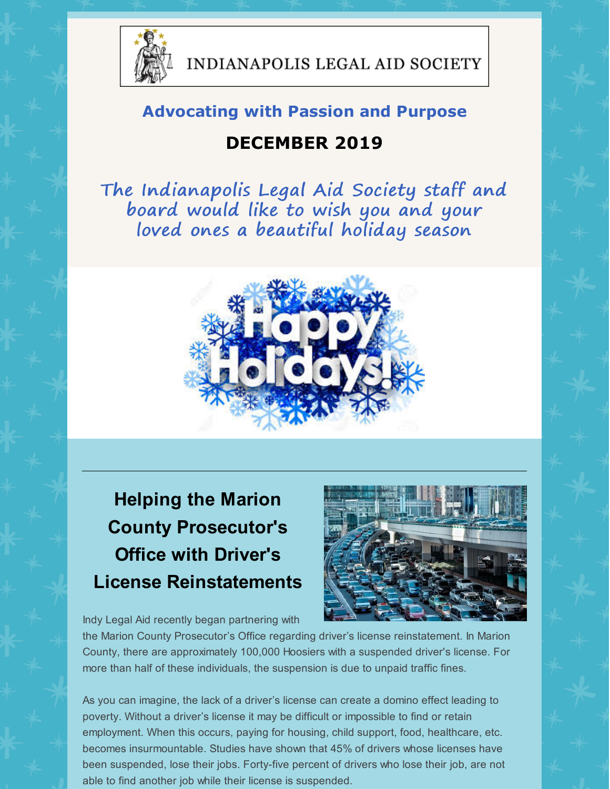

INDIANAPOLIS LEGAL AID SOCIETY

#### **Advocating with Passion and Purpose**

#### **DECEMBER 2019**

The Indianapolis Legal Aid Society staff and board would like to wish you and your loved ones a beautiful holiday season



# **Helping the Marion County Prosecutor's Office with Driver's License Reinstatements**

Indy Legal Aid recently began partnering with

the Marion County Prosecutor's Office regarding driver's license reinstatement. In Marion County, there are approximately 100,000 Hoosiers with a suspended driver's license. For more than half of these individuals, the suspension is due to unpaid traffic fines.

As you can imagine, the lack of a driver's license can create a domino effect leading to poverty. Without a driver's license it may be difficult or impossible to find or retain employment. When this occurs, paying for housing, child support, food, healthcare, etc. becomes insurmountable. Studies have shown that 45% of drivers whose licenses have been suspended, lose their jobs. Forty-five percent of drivers who lose their job, are not able to find another job while their license is suspended.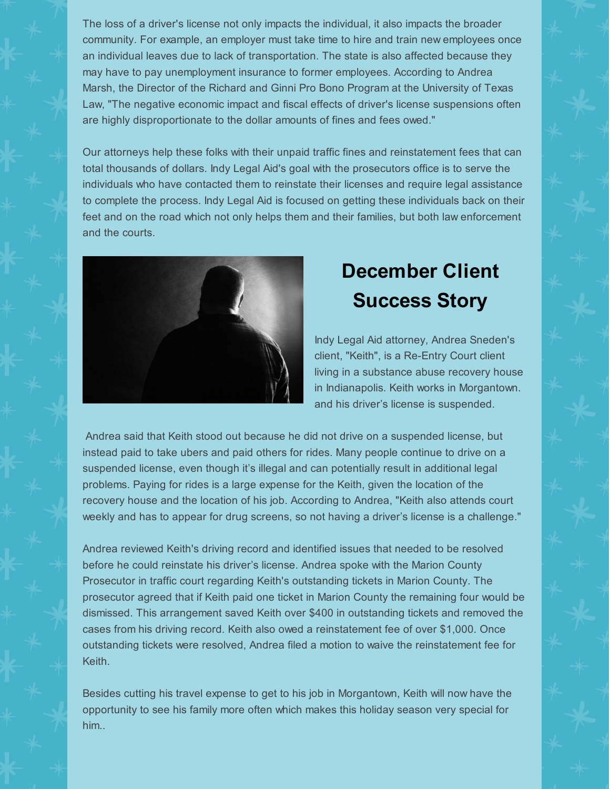The loss of a driver's license not only impacts the individual, it also impacts the broader community. For example, an employer must take time to hire and train new employees once an individual leaves due to lack of transportation. The state is also affected because they may have to pay unemployment insurance to former employees. According to Andrea Marsh, the Director of the Richard and Ginni Pro Bono Program at the University of Texas Law, "The negative economic impact and fiscal effects of driver's license suspensions often are highly disproportionate to the dollar amounts of fines and fees owed."

Our attorneys help these folks with their unpaid traffic fines and reinstatement fees that can total thousands of dollars. Indy Legal Aid's goal with the prosecutors office is to serve the individuals who have contacted them to reinstate their licenses and require legal assistance to complete the process. Indy Legal Aid is focused on getting these individuals back on their feet and on the road which not only helps them and their families, but both law enforcement and the courts.



## **December Client Success Story**

Indy Legal Aid attorney, Andrea Sneden's client, "Keith", is a Re-Entry Court client living in a substance abuse recovery house in Indianapolis. Keith works in Morgantown. and his driver's license is suspended.

Andrea said that Keith stood out because he did not drive on a suspended license, but instead paid to take ubers and paid others for rides. Many people continue to drive on a suspended license, even though it's illegal and can potentially result in additional legal problems. Paying for rides is a large expense for the Keith, given the location of the recovery house and the location of his job. According to Andrea, "Keith also attends court weekly and has to appear for drug screens, so not having a driver's license is a challenge."

Andrea reviewed Keith's driving record and identified issues that needed to be resolved before he could reinstate his driver's license. Andrea spoke with the Marion County Prosecutor in traffic court regarding Keith's outstanding tickets in Marion County. The prosecutor agreed that if Keith paid one ticket in Marion County the remaining four would be dismissed. This arrangement saved Keith over \$400 in outstanding tickets and removed the cases from his driving record. Keith also owed a reinstatement fee of over \$1,000. Once outstanding tickets were resolved, Andrea filed a motion to waive the reinstatement fee for Keith.

Besides cutting his travel expense to get to his job in Morgantown, Keith will now have the opportunity to see his family more often which makes this holiday season very special for him..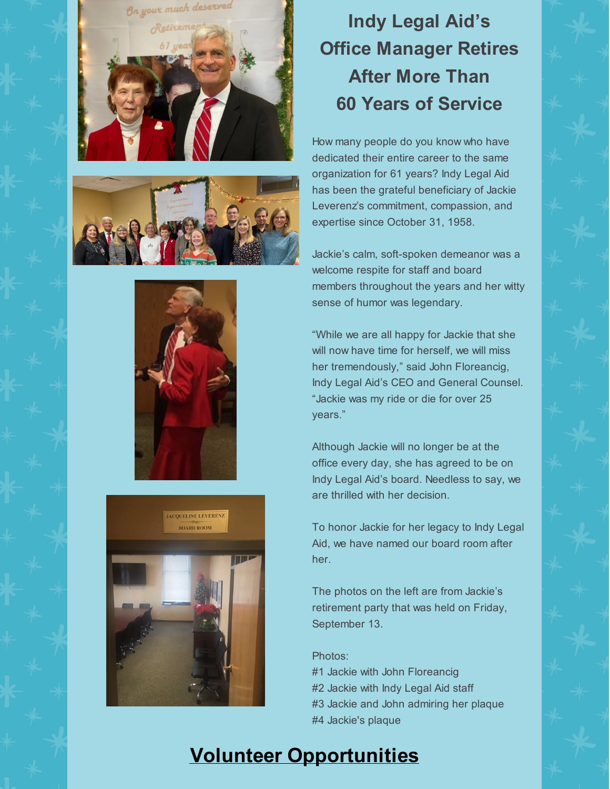







# **Indy Legal Aid's Office Manager Retires After More Than 60 Years of Service**

How many people do you know who have dedicated their entire career to the same organization for 61 years? Indy Legal Aid has been the grateful beneficiary of Jackie Leverenz's commitment, compassion, and expertise since October 31, 1958.

Jackie's calm, soft-spoken demeanor was a welcome respite for staff and board members throughout the years and her witty sense of humor was legendary.

"While we are all happy for Jackie that she will now have time for herself, we will miss her tremendously," said John Floreancig, Indy Legal Aid's CEO and General Counsel. "Jackie was my ride or die for over 25 years."

Although Jackie will no longer be at the office every day, she has agreed to be on Indy Legal Aid's board. Needless to say, we are thrilled with her decision.

To honor Jackie for her legacy to Indy Legal Aid, we have named our board room after her.

The photos on the left are from Jackie's retirement party that was held on Friday, September 13.

Photos:

- #1 Jackie with John Floreancig
- #2 Jackie with Indy Legal Aid staff
- #3 Jackie and John admiring her plaque
- #4 Jackie's plaque

### **Volunteer Opportunities**